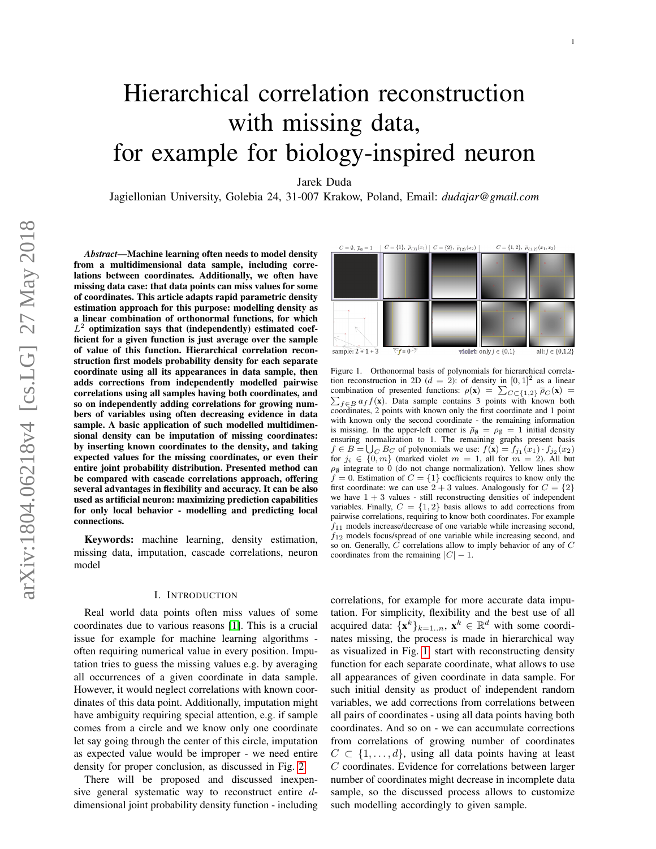# Hierarchical correlation reconstruction with missing data, for example for biology-inspired neuron

Jarek Duda

Jagiellonian University, Golebia 24, 31-007 Krakow, Poland, Email: *dudajar@gmail.com*

*Abstract*—Machine learning often needs to model density from a multidimensional data sample, including correlations between coordinates. Additionally, we often have missing data case: that data points can miss values for some of coordinates. This article adapts rapid parametric density estimation approach for this purpose: modelling density as a linear combination of orthonormal functions, for which  $L^2$  optimization says that (independently) estimated coefficient for a given function is just average over the sample of value of this function. Hierarchical correlation reconstruction first models probability density for each separate coordinate using all its appearances in data sample, then adds corrections from independently modelled pairwise correlations using all samples having both coordinates, and so on independently adding correlations for growing numbers of variables using often decreasing evidence in data sample. A basic application of such modelled multidimensional density can be imputation of missing coordinates: by inserting known coordinates to the density, and taking expected values for the missing coordinates, or even their entire joint probability distribution. Presented method can be compared with cascade correlations approach, offering several advantages in flexibility and accuracy. It can be also used as artificial neuron: maximizing prediction capabilities for only local behavior - modelling and predicting local connections.

Keywords: machine learning, density estimation, missing data, imputation, cascade correlations, neuron model

### I. INTRODUCTION

Real world data points often miss values of some coordinates due to various reasons [\[1\]](#page-6-0). This is a crucial issue for example for machine learning algorithms often requiring numerical value in every position. Imputation tries to guess the missing values e.g. by averaging all occurrences of a given coordinate in data sample. However, it would neglect correlations with known coordinates of this data point. Additionally, imputation might have ambiguity requiring special attention, e.g. if sample comes from a circle and we know only one coordinate let say going through the center of this circle, imputation as expected value would be improper - we need entire density for proper conclusion, as discussed in Fig. [2.](#page-1-0)

There will be proposed and discussed inexpensive general systematic way to reconstruct entire  $d$ dimensional joint probability density function - including



<span id="page-0-0"></span>Figure 1. Orthonormal basis of polynomials for hierarchical correlation reconstruction in 2D  $(d = 2)$ : of density in  $[0, 1]^2$  as a linear combination of presented functions:  $\rho(\mathbf{x}) = \sum_{C \subset \{1,2\}} \overline{\rho}_C(\mathbf{x}) =$  $\sum_{f \in B} a_f f(\mathbf{x})$ . Data sample contains 3 points with known both coordinates, 2 points with known only the first coordinate and 1 point with known only the second coordinate - the remaining information is missing. In the upper-left corner is  $\bar{p}_{\emptyset} = \rho_{\emptyset} = 1$  initial density ensuring normalization to 1. The remaining graphs present basis  $f \in B = \bigcup_C B_C$  of polynomials we use:  $f(\mathbf{x}) = f_{j_1}(x_1) \cdot f_{j_2}(x_2)$ for  $j_i \in \{0, m\}$  (marked violet  $m = 1$ , all for  $m = 2$ ). All but  $\rho_{\emptyset}$  integrate to 0 (do not change normalization). Yellow lines show  $f = 0$ . Estimation of  $C = \{1\}$  coefficients requires to know only the first coordinate: we can use  $2 + 3$  values. Analogously for  $C = \{2\}$ we have  $1 + 3$  values - still reconstructing densities of independent variables. Finally,  $C = \{1, 2\}$  basis allows to add corrections from pairwise correlations, requiring to know both coordinates. For example  $f_{11}$  models increase/decrease of one variable while increasing second,  $f_{12}$  models focus/spread of one variable while increasing second, and so on. Generally, C correlations allow to imply behavior of any of C coordinates from the remaining  $|C| - 1$ .

correlations, for example for more accurate data imputation. For simplicity, flexibility and the best use of all acquired data:  $\{x^k\}_{k=1..n}$ ,  $x^k \in \mathbb{R}^d$  with some coordinates missing, the process is made in hierarchical way as visualized in Fig. [1:](#page-0-0) start with reconstructing density function for each separate coordinate, what allows to use all appearances of given coordinate in data sample. For such initial density as product of independent random variables, we add corrections from correlations between all pairs of coordinates - using all data points having both coordinates. And so on - we can accumulate corrections from correlations of growing number of coordinates  $C \subset \{1, \ldots, d\}$ , using all data points having at least C coordinates. Evidence for correlations between larger number of coordinates might decrease in incomplete data sample, so the discussed process allows to customize such modelling accordingly to given sample.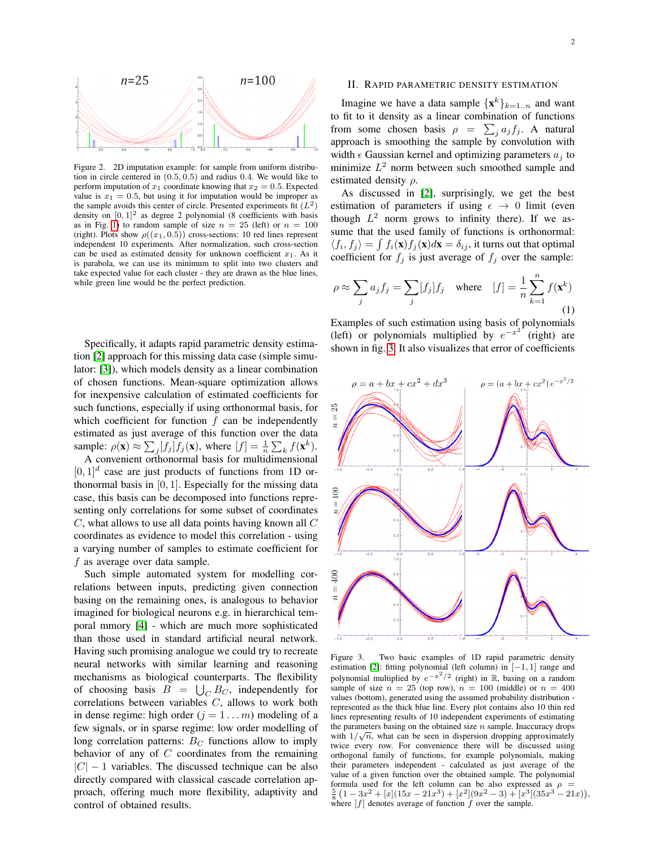

<span id="page-1-0"></span>Figure 2. 2D imputation example: for sample from uniform distribution in circle centered in (0.5, 0.5) and radius 0.4. We would like to perform imputation of  $x_1$  coordinate knowing that  $x_2 = 0.5$ . Expected value is  $x_1 = 0.5$ , but using it for imputation would be improper as the sample avoids this center of circle. Presented experiments fit  $(L^2)$ density on  $[0, 1]^2$  as degree 2 polynomial (8 coefficients with basis as in Fig. [1\)](#page-0-0) to random sample of size  $n = 25$  (left) or  $n = 100$ (right). Plots show  $\rho((x_1, 0.5))$  cross-sections: 10 red lines represent independent 10 experiments. After normalization, such cross-section can be used as estimated density for unknown coefficient  $x_1$ . As it is parabola, we can use its minimum to split into two clusters and take expected value for each cluster - they are drawn as the blue lines, while green line would be the perfect prediction.

Specifically, it adapts rapid parametric density estimation [\[2\]](#page-6-1) approach for this missing data case (simple simulator: [\[3\]](#page-6-2)), which models density as a linear combination of chosen functions. Mean-square optimization allows for inexpensive calculation of estimated coefficients for such functions, especially if using orthonormal basis, for which coefficient for function  $f$  can be independently estimated as just average of this function over the data sample:  $\rho(\mathbf{x}) \approx \sum_j [f_j] f_j(\mathbf{x})$ , where  $[f] = \frac{1}{n} \sum_k f(\mathbf{x}^k)$ .

A convenient orthonormal basis for multidimensional  $[0, 1]^d$  case are just products of functions from 1D orthonormal basis in  $[0, 1]$ . Especially for the missing data case, this basis can be decomposed into functions representing only correlations for some subset of coordinates  $C$ , what allows to use all data points having known all  $C$ coordinates as evidence to model this correlation - using a varying number of samples to estimate coefficient for f as average over data sample.

Such simple automated system for modelling correlations between inputs, predicting given connection basing on the remaining ones, is analogous to behavior imagined for biological neurons e.g. in hierarchical temporal mmory [\[4\]](#page-6-3) - which are much more sophisticated than those used in standard artificial neural network. Having such promising analogue we could try to recreate neural networks with similar learning and reasoning mechanisms as biological counterparts. The flexibility of choosing basis  $B = \bigcup_C B_C$ , independently for correlations between variables  $C$ , allows to work both in dense regime: high order  $(j = 1 ... m)$  modeling of a few signals, or in sparse regime: low order modelling of long correlation patterns:  $B<sub>C</sub>$  functions allow to imply behavior of any of  $C$  coordinates from the remaining  $|C| - 1$  variables. The discussed technique can be also directly compared with classical cascade correlation approach, offering much more flexibility, adaptivity and control of obtained results.

## II. RAPID PARAMETRIC DENSITY ESTIMATION

Imagine we have a data sample  $\{x^k\}_{k=1..n}$  and want to fit to it density as a linear combination of functions from some chosen basis  $\rho = \sum_j a_j f_j$ . A natural approach is smoothing the sample by convolution with width  $\epsilon$  Gaussian kernel and optimizing parameters  $a_i$  to minimize  $L^2$  norm between such smoothed sample and estimated density  $\rho$ .

As discussed in [\[2\]](#page-6-1), surprisingly, we get the best estimation of parameters if using  $\epsilon \rightarrow 0$  limit (even though  $L^2$  norm grows to infinity there). If we assume that the used family of functions is orthonormal:  $\langle f_i, f_j \rangle = \int f_i(\mathbf{x}) f_j(\mathbf{x}) d\mathbf{x} = \delta_{ij}$ , it turns out that optimal coefficient for  $f_j$  is just average of  $f_j$  over the sample:

$$
\rho \approx \sum_{j} a_j f_j = \sum_{j} [f_j] f_j \quad \text{where} \quad [f] = \frac{1}{n} \sum_{k=1}^{n} f(\mathbf{x}^k)
$$
\n(1)

Examples of such estimation using basis of polynomials (left) or polynomials multiplied by  $e^{-x^2}$  (right) are shown in fig. [3.](#page-1-1) It also visualizes that error of coefficients



<span id="page-1-1"></span>Figure 3. Two basic examples of 1D rapid parametric density estimation [\[2\]](#page-6-1): fitting polynomial (left column) in  $[-1, 1]$  range and polynomial multiplied by  $e^{-x^2/2}$  (right) in R, basing on a random sample of size  $n = 25$  (top row),  $n = 100$  (middle) or  $n = 400$ values (bottom), generated using the assumed probability distribution represented as the thick blue line. Every plot contains also 10 thin red lines representing results of 10 independent experiments of estimating the parameters basing on the obtained size  $n$  sample. Inaccuracy drops with  $1/\sqrt{n}$ , what can be seen in dispersion dropping approximately twice every row. For convenience there will be discussed using orthogonal family of functions, for example polynomials, making their parameters independent - calculated as just average of the value of a given function over the obtained sample. The polynomial formula used for the left column can be also expressed as  $\rho =$  $\frac{5}{8}(1-3x^2+[x](15x-21x^3)+[x^2](9x^2-3)+[x^3](35x^3-21x)),$ where  $[f]$  denotes average of function  $\hat{f}$  over the sample.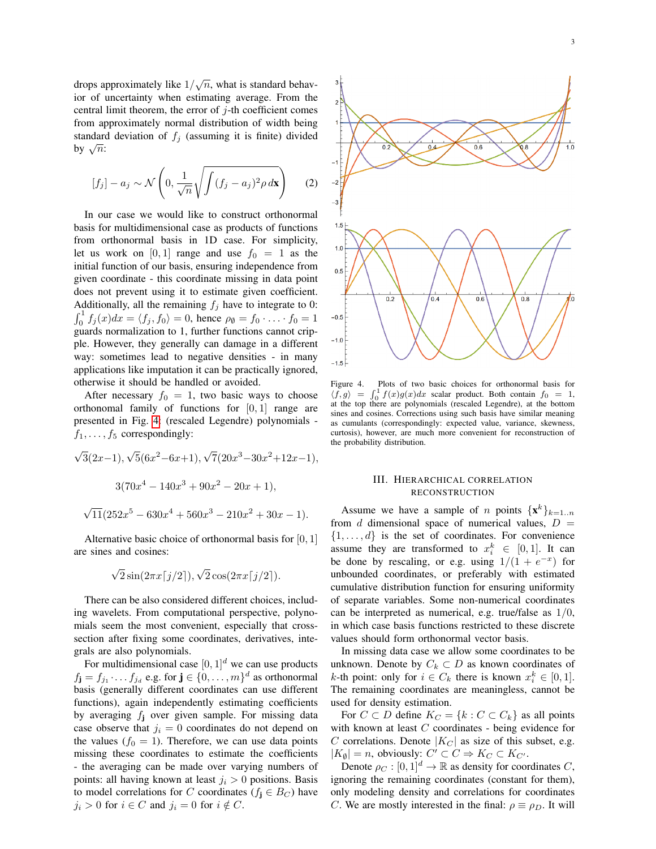drops approximately like  $1/\sqrt{n}$ , what is standard behavior of uncertainty when estimating average. From the central limit theorem, the error of  $i$ -th coefficient comes from approximately normal distribution of width being standard deviation of  $f_i$  (assuming it is finite) divided standard<br>by  $\sqrt{n}$ :

$$
[f_j] - a_j \sim \mathcal{N}\left(0, \frac{1}{\sqrt{n}}\sqrt{\int (f_j - a_j)^2 \rho \,d\mathbf{x}}\right) \qquad (2)
$$

In our case we would like to construct orthonormal basis for multidimensional case as products of functions from orthonormal basis in 1D case. For simplicity, let us work on [0, 1] range and use  $f_0 = 1$  as the initial function of our basis, ensuring independence from given coordinate - this coordinate missing in data point does not prevent using it to estimate given coefficient. Additionally, all the remaining  $f_j$  have to integrate to 0:  $\int_0^1 f_j(x)dx = \langle f_j, f_0 \rangle = 0$ , hence  $\rho_\emptyset = f_0 \cdot \ldots \cdot f_0 = 1$ guards normalization to 1, further functions cannot cripple. However, they generally can damage in a different way: sometimes lead to negative densities - in many applications like imputation it can be practically ignored, otherwise it should be handled or avoided.

After necessary  $f_0 = 1$ , two basic ways to choose orthonomal family of functions for  $[0, 1]$  range are presented in Fig. [4:](#page-2-0) (rescaled Legendre) polynomials  $f_1, \ldots, f_5$  correspondingly:

$$
\sqrt{3}(2x-1), \sqrt{5}(6x^2-6x+1), \sqrt{7}(20x^3-30x^2+12x-1),
$$
  

$$
3(70x^4-140x^3+90x^2-20x+1),
$$
  

$$
\sqrt{11}(252x^5-630x^4+560x^3-210x^2+30x-1).
$$

Alternative basic choice of orthonormal basis for [0, 1] are sines and cosines:

$$
\sqrt{2}\sin(2\pi x\lceil j/2\rceil), \sqrt{2}\cos(2\pi x\lceil j/2\rceil).
$$

There can be also considered different choices, including wavelets. From computational perspective, polynomials seem the most convenient, especially that crosssection after fixing some coordinates, derivatives, integrals are also polynomials.

For multidimensional case  $[0, 1]^d$  we can use products  $f_{\mathbf{j}} = f_{j_1} \cdot \ldots \cdot f_{j_d}$  e.g. for  $\mathbf{j} \in \{0, \ldots, m\}^d$  as orthonormal basis (generally different coordinates can use different functions), again independently estimating coefficients by averaging  $f_i$  over given sample. For missing data case observe that  $j_i = 0$  coordinates do not depend on the values ( $f_0 = 1$ ). Therefore, we can use data points missing these coordinates to estimate the coefficients - the averaging can be made over varying numbers of points: all having known at least  $j_i > 0$  positions. Basis to model correlations for C coordinates ( $f_j \in B_C$ ) have  $j_i > 0$  for  $i \in C$  and  $j_i = 0$  for  $i \notin C$ .



<span id="page-2-0"></span>Figure 4. Plots of two basic choices for orthonormal basis for  $\langle f, g \rangle =$  $\int_0^1 f(x)g(x)dx$  scalar product. Both contain  $f_0 = 1$ , at the top there are polynomials (rescaled Legendre), at the bottom sines and cosines. Corrections using such basis have similar meaning as cumulants (correspondingly: expected value, variance, skewness, curtosis), however, are much more convenient for reconstruction of the probability distribution.

## III. HIERARCHICAL CORRELATION RECONSTRUCTION

Assume we have a sample of *n* points  $\{x^k\}_{k=1..n}$ from d dimensional space of numerical values,  $D =$  $\{1, \ldots, d\}$  is the set of coordinates. For convenience assume they are transformed to  $x_i^k \in [0,1]$ . It can be done by rescaling, or e.g. using  $1/(1 + e^{-x})$  for unbounded coordinates, or preferably with estimated cumulative distribution function for ensuring uniformity of separate variables. Some non-numerical coordinates can be interpreted as numerical, e.g. true/false as 1/0, in which case basis functions restricted to these discrete values should form orthonormal vector basis.

In missing data case we allow some coordinates to be unknown. Denote by  $C_k \subset D$  as known coordinates of *k*-th point: only for  $i \in C_k$  there is known  $x_i^k \in [0,1]$ . The remaining coordinates are meaningless, cannot be used for density estimation.

For  $C \subset D$  define  $K_C = \{k : C \subset C_k\}$  as all points with known at least C coordinates - being evidence for  $C$  correlations. Denote  $|K_C|$  as size of this subset, e.g.  $|K_{\emptyset}| = n$ , obviously:  $C' \subset C \Rightarrow K_C \subset K_{C'}$ .

Denote  $\rho_C : [0, 1]^d \to \mathbb{R}$  as density for coordinates C, ignoring the remaining coordinates (constant for them), only modeling density and correlations for coordinates C. We are mostly interested in the final:  $\rho \equiv \rho_D$ . It will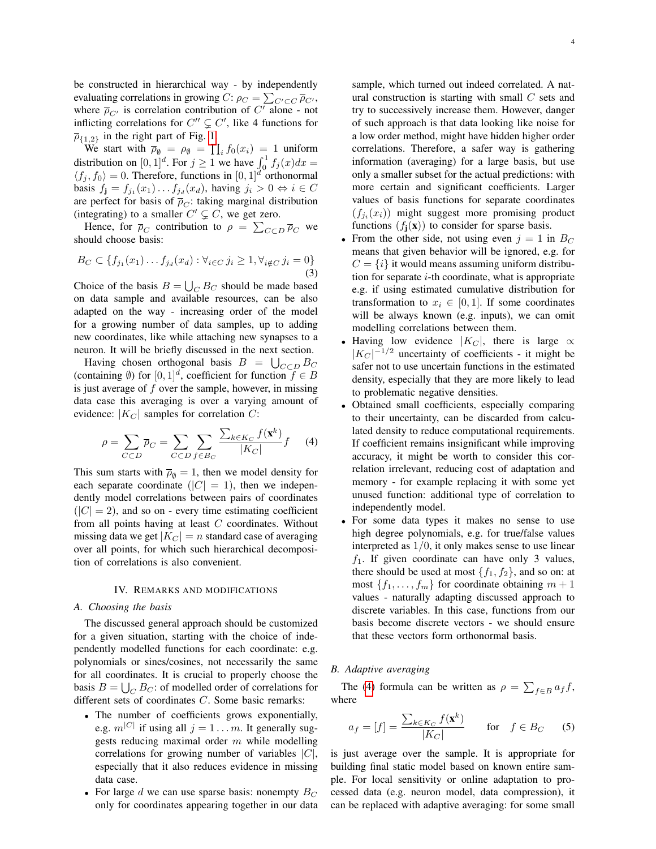be constructed in hierarchical way - by independently evaluating correlations in growing  $C: \rho_C = \sum_{C' \subset C} \overline{\rho}_{C'}$ , where  $\overline{\rho}_{C'}$  is correlation contribution of  $C'$  alone - not inflicting correlations for  $C'' \subsetneq C'$ , like 4 functions for  $\overline{\rho}_{\{1,2\}}$  in the right part of Fig. [1.](#page-0-0)

We start with  $\overline{\rho}_{\emptyset} = \rho_{\emptyset} = \prod_i f_0(x_i) = 1$  uniform distribution on  $[0, 1]^d$ . For  $j \ge 1$  we have  $\int_0^1 f_j(x) dx =$  $\langle f_j, f_0 \rangle = 0$ . Therefore, functions in  $[0, 1]^d$  orthonormal basis  $f_{\mathbf{j}} = f_{j_1}(x_1) \dots f_{j_d}(x_d)$ , having  $j_i > 0 \Leftrightarrow i \in C$ are perfect for basis of  $\overline{\rho}_C$ : taking marginal distribution (integrating) to a smaller  $C' \subsetneq C$ , we get zero.

Hence, for  $\bar{\rho}_C$  contribution to  $\rho = \sum_{C \subset D} \bar{\rho}_C$  we should choose basis:

$$
B_C \subset \{ f_{j_1}(x_1) \dots f_{j_d}(x_d) : \forall_{i \in C} \ j_i \ge 1, \forall_{i \notin C} \ j_i = 0 \}
$$
\n(3)

Choice of the basis  $B = \bigcup_C B_C$  should be made based on data sample and available resources, can be also adapted on the way - increasing order of the model for a growing number of data samples, up to adding new coordinates, like while attaching new synapses to a neuron. It will be briefly discussed in the next section.

Having chosen orthogonal basis  $B = \bigcup_{C \subset D} B_C$ (containing  $\emptyset$ ) for  $[0, 1]^d$ , coefficient for function  $\overline{f} \in B$ is just average of  $f$  over the sample, however, in missing data case this averaging is over a varying amount of evidence:  $|K_C|$  samples for correlation C:

<span id="page-3-0"></span>
$$
\rho = \sum_{C \subset D} \overline{\rho}_C = \sum_{C \subset D} \sum_{f \in B_C} \frac{\sum_{k \in K_C} f(\mathbf{x}^k)}{|K_C|} f \qquad (4)
$$

This sum starts with  $\bar{\rho}_{\emptyset} = 1$ , then we model density for each separate coordinate  $(|C| = 1)$ , then we independently model correlations between pairs of coordinates  $(|C| = 2)$ , and so on - every time estimating coefficient from all points having at least  $C$  coordinates. Without missing data we get  $|K_C| = n$  standard case of averaging over all points, for which such hierarchical decomposition of correlations is also convenient.

# IV. REMARKS AND MODIFICATIONS

# *A. Choosing the basis*

The discussed general approach should be customized for a given situation, starting with the choice of independently modelled functions for each coordinate: e.g. polynomials or sines/cosines, not necessarily the same for all coordinates. It is crucial to properly choose the basis  $B = \bigcup_C B_C$ : of modelled order of correlations for different sets of coordinates C. Some basic remarks:

- The number of coefficients grows exponentially, e.g.  $m^{|C|}$  if using all  $j = 1 ... m$ . It generally suggests reducing maximal order  $m$  while modelling correlations for growing number of variables  $|C|$ , especially that it also reduces evidence in missing data case.
- For large d we can use sparse basis: nonempty  $B_C$ only for coordinates appearing together in our data

sample, which turned out indeed correlated. A natural construction is starting with small  $C$  sets and try to successively increase them. However, danger of such approach is that data looking like noise for a low order method, might have hidden higher order correlations. Therefore, a safer way is gathering information (averaging) for a large basis, but use only a smaller subset for the actual predictions: with more certain and significant coefficients. Larger values of basis functions for separate coordinates  $(f_{j_i}(x_i))$  might suggest more promising product functions  $(f_i(\mathbf{x}))$  to consider for sparse basis.

- From the other side, not using even  $j = 1$  in  $B_C$ means that given behavior will be ignored, e.g. for  $C = \{i\}$  it would means assuming uniform distribution for separate  $i$ -th coordinate, what is appropriate e.g. if using estimated cumulative distribution for transformation to  $x_i \in [0, 1]$ . If some coordinates will be always known (e.g. inputs), we can omit modelling correlations between them.
- Having low evidence  $|K_C|$ , there is large  $\propto$  $|K_C|^{-1/2}$  uncertainty of coefficients - it might be safer not to use uncertain functions in the estimated density, especially that they are more likely to lead to problematic negative densities.
- Obtained small coefficients, especially comparing to their uncertainty, can be discarded from calculated density to reduce computational requirements. If coefficient remains insignificant while improving accuracy, it might be worth to consider this correlation irrelevant, reducing cost of adaptation and memory - for example replacing it with some yet unused function: additional type of correlation to independently model.
- For some data types it makes no sense to use high degree polynomials, e.g. for true/false values interpreted as 1/0, it only makes sense to use linear  $f_1$ . If given coordinate can have only 3 values, there should be used at most  $\{f_1, f_2\}$ , and so on: at most  $\{f_1, \ldots, f_m\}$  for coordinate obtaining  $m+1$ values - naturally adapting discussed approach to discrete variables. In this case, functions from our basis become discrete vectors - we should ensure that these vectors form orthonormal basis.

#### *B. Adaptive averaging*

The [\(4\)](#page-3-0) formula can be written as  $\rho = \sum_{f \in B} a_f f$ , where

$$
a_f = [f] = \frac{\sum_{k \in K_C} f(\mathbf{x}^k)}{|K_C|} \quad \text{for} \quad f \in B_C \quad (5)
$$

is just average over the sample. It is appropriate for building final static model based on known entire sample. For local sensitivity or online adaptation to processed data (e.g. neuron model, data compression), it can be replaced with adaptive averaging: for some small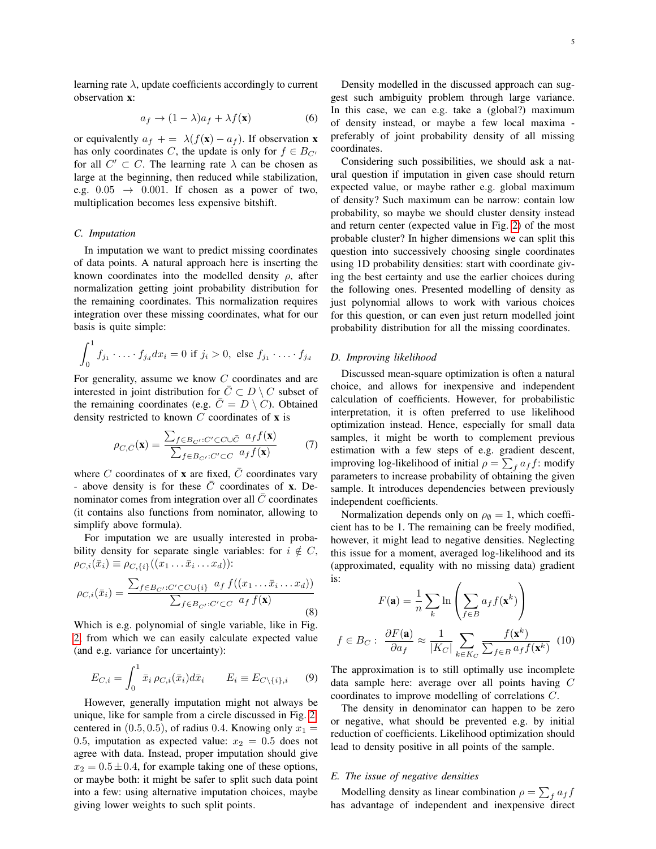learning rate  $\lambda$ , update coefficients accordingly to current observation x:

<span id="page-4-2"></span>
$$
a_f \to (1 - \lambda)a_f + \lambda f(\mathbf{x}) \tag{6}
$$

or equivalently  $a_f$  + =  $\lambda(f(\mathbf{x}) - a_f)$ . If observation **x** has only coordinates C, the update is only for  $f \in B_{C'}$ for all  $C' \subset C$ . The learning rate  $\lambda$  can be chosen as large at the beginning, then reduced while stabilization, e.g.  $0.05 \rightarrow 0.001$ . If chosen as a power of two, multiplication becomes less expensive bitshift.

## *C. Imputation*

In imputation we want to predict missing coordinates of data points. A natural approach here is inserting the known coordinates into the modelled density  $\rho$ , after normalization getting joint probability distribution for the remaining coordinates. This normalization requires integration over these missing coordinates, what for our basis is quite simple:

$$
\int_0^1 f_{j_1} \cdot \ldots \cdot f_{j_d} dx_i = 0 \text{ if } j_i > 0, \text{ else } f_{j_1} \cdot \ldots \cdot f_{j_d}
$$

For generality, assume we know C coordinates and are interested in joint distribution for  $\overline{C} \subset D \setminus C$  subset of the remaining coordinates (e.g.  $\overline{C} = D \setminus C$ ). Obtained density restricted to known  $C$  coordinates of  $x$  is

$$
\rho_{C,\bar{C}}(\mathbf{x}) = \frac{\sum_{f \in B_{C'} : C' \subset C \cup \bar{C}} a_f f(\mathbf{x})}{\sum_{f \in B_{C'} : C' \subset C} a_f f(\mathbf{x})}
$$
(7)

where C coordinates of **x** are fixed,  $\overline{C}$  coordinates vary - above density is for these  $\overline{C}$  coordinates of **x**. Denominator comes from integration over all  $C$  coordinates (it contains also functions from nominator, allowing to simplify above formula).

For imputation we are usually interested in probability density for separate single variables: for  $i \notin C$ ,  $\rho_{C,i}(\bar{x}_i) \equiv \rho_{C,\{i\}}((x_1 \ldots \bar{x}_i \ldots x_d))$ :

$$
\rho_{C,i}(\bar{x}_i) = \frac{\sum_{f \in B_{C'} : C' \subset C \cup \{i\}} a_f f((x_1 \dots \bar{x}_i \dots x_d))}{\sum_{f \in B_{C'} : C' \subset C} a_f f(\mathbf{x})}
$$
(8)

Which is e.g. polynomial of single variable, like in Fig. [2,](#page-1-0) from which we can easily calculate expected value (and e.g. variance for uncertainty):

<span id="page-4-1"></span>
$$
E_{C,i} = \int_0^1 \bar{x}_i \,\rho_{C,i}(\bar{x}_i) d\bar{x}_i \qquad E_i \equiv E_{C \setminus \{i\},i} \qquad (9)
$$

However, generally imputation might not always be unique, like for sample from a circle discussed in Fig. [2:](#page-1-0) centered in  $(0.5, 0.5)$ , of radius 0.4. Knowing only  $x_1 =$ 0.5, imputation as expected value:  $x_2 = 0.5$  does not agree with data. Instead, proper imputation should give  $x_2 = 0.5 \pm 0.4$ , for example taking one of these options, or maybe both: it might be safer to split such data point into a few: using alternative imputation choices, maybe giving lower weights to such split points.

Density modelled in the discussed approach can suggest such ambiguity problem through large variance. In this case, we can e.g. take a (global?) maximum of density instead, or maybe a few local maxima preferably of joint probability density of all missing coordinates.

Considering such possibilities, we should ask a natural question if imputation in given case should return expected value, or maybe rather e.g. global maximum of density? Such maximum can be narrow: contain low probability, so maybe we should cluster density instead and return center (expected value in Fig. [2\)](#page-1-0) of the most probable cluster? In higher dimensions we can split this question into successively choosing single coordinates using 1D probability densities: start with coordinate giving the best certainty and use the earlier choices during the following ones. Presented modelling of density as just polynomial allows to work with various choices for this question, or can even just return modelled joint probability distribution for all the missing coordinates.

### *D. Improving likelihood*

Discussed mean-square optimization is often a natural choice, and allows for inexpensive and independent calculation of coefficients. However, for probabilistic interpretation, it is often preferred to use likelihood optimization instead. Hence, especially for small data samples, it might be worth to complement previous estimation with a few steps of e.g. gradient descent, improving log-likelihood of initial  $\rho = \sum_f a_f f$ : modify parameters to increase probability of obtaining the given sample. It introduces dependencies between previously independent coefficients.

Normalization depends only on  $\rho_{\emptyset} = 1$ , which coefficient has to be 1. The remaining can be freely modified, however, it might lead to negative densities. Neglecting this issue for a moment, averaged log-likelihood and its (approximated, equality with no missing data) gradient is:

$$
F(\mathbf{a}) = \frac{1}{n} \sum_{k} \ln \left( \sum_{f \in B} a_f f(\mathbf{x}^k) \right)
$$

$$
f \in B_C: \frac{\partial F(\mathbf{a})}{\partial a_f} \approx \frac{1}{|K_C|} \sum_{k \in K_C} \frac{f(\mathbf{x}^k)}{\sum_{f \in B} a_f f(\mathbf{x}^k)} \tag{10}
$$

<span id="page-4-0"></span>The approximation is to still optimally use incomplete data sample here: average over all points having C coordinates to improve modelling of correlations C.

The density in denominator can happen to be zero or negative, what should be prevented e.g. by initial reduction of coefficients. Likelihood optimization should lead to density positive in all points of the sample.

# *E. The issue of negative densities*

Modelling density as linear combination  $\rho = \sum_f a_f f$ has advantage of independent and inexpensive direct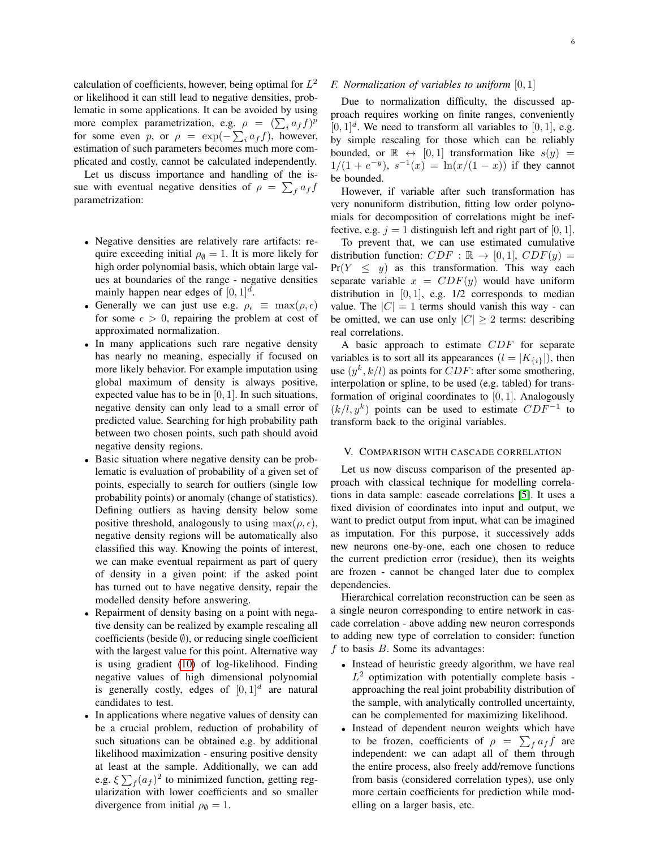calculation of coefficients, however, being optimal for  $L^2$ or likelihood it can still lead to negative densities, problematic in some applications. It can be avoided by using more complex parametrization, e.g.  $\rho = (\sum_i a_i f)^p$ for some even p, or  $\rho = \exp(-\sum_i a_i f)$ , however, estimation of such parameters becomes much more complicated and costly, cannot be calculated independently.

Let us discuss importance and handling of the issue with eventual negative densities of  $\rho = \sum_f a_f f$ parametrization:

- Negative densities are relatively rare artifacts: require exceeding initial  $\rho_{\emptyset} = 1$ . It is more likely for high order polynomial basis, which obtain large values at boundaries of the range - negative densities mainly happen near edges of  $[0, 1]^d$ .
- Generally we can just use e.g.  $\rho_{\epsilon} \equiv \max(\rho, \epsilon)$ for some  $\epsilon > 0$ , repairing the problem at cost of approximated normalization.
- In many applications such rare negative density has nearly no meaning, especially if focused on more likely behavior. For example imputation using global maximum of density is always positive, expected value has to be in  $[0, 1]$ . In such situations, negative density can only lead to a small error of predicted value. Searching for high probability path between two chosen points, such path should avoid negative density regions.
- Basic situation where negative density can be problematic is evaluation of probability of a given set of points, especially to search for outliers (single low probability points) or anomaly (change of statistics). Defining outliers as having density below some positive threshold, analogously to using  $\max(\rho, \epsilon)$ , negative density regions will be automatically also classified this way. Knowing the points of interest, we can make eventual repairment as part of query of density in a given point: if the asked point has turned out to have negative density, repair the modelled density before answering.
- Repairment of density basing on a point with negative density can be realized by example rescaling all coefficients (beside  $\emptyset$ ), or reducing single coefficient with the largest value for this point. Alternative way is using gradient [\(10\)](#page-4-0) of log-likelihood. Finding negative values of high dimensional polynomial is generally costly, edges of  $[0,1]^d$  are natural candidates to test.
- In applications where negative values of density can be a crucial problem, reduction of probability of such situations can be obtained e.g. by additional likelihood maximization - ensuring positive density at least at the sample. Additionally, we can add e.g.  $\xi \sum_f (a_f)^2$  to minimized function, getting regularization with lower coefficients and so smaller divergence from initial  $\rho_{\emptyset} = 1$ .

# *F. Normalization of variables to uniform* [0, 1]

Due to normalization difficulty, the discussed approach requires working on finite ranges, conveniently  $[0, 1]^d$ . We need to transform all variables to  $[0, 1]$ , e.g. by simple rescaling for those which can be reliably bounded, or  $\mathbb{R} \leftrightarrow [0, 1]$  transformation like  $s(y) =$  $1/(1 + e^{-y})$ ,  $s^{-1}(x) = \ln(x/(1 - x))$  if they cannot be bounded.

However, if variable after such transformation has very nonuniform distribution, fitting low order polynomials for decomposition of correlations might be ineffective, e.g.  $j = 1$  distinguish left and right part of [0, 1].

To prevent that, we can use estimated cumulative distribution function:  $CDF : \mathbb{R} \rightarrow [0, 1], \, CDF(y) =$  $Pr(Y \leq y)$  as this transformation. This way each separate variable  $x = CDF(y)$  would have uniform distribution in  $[0, 1]$ , e.g.  $1/2$  corresponds to median value. The  $|C| = 1$  terms should vanish this way - can be omitted, we can use only  $|C| \geq 2$  terms: describing real correlations.

A basic approach to estimate CDF for separate variables is to sort all its appearances  $(l = |K_{\{i\}}|)$ , then use  $(y^k, k/l)$  as points for  $CDF$ : after some smothering, interpolation or spline, to be used (e.g. tabled) for transformation of original coordinates to [0, 1]. Analogously  $(k/l, y^k)$  points can be used to estimate  $CDF^{-1}$  to transform back to the original variables.

#### V. COMPARISON WITH CASCADE CORRELATION

Let us now discuss comparison of the presented approach with classical technique for modelling correlations in data sample: cascade correlations [\[5\]](#page-6-4). It uses a fixed division of coordinates into input and output, we want to predict output from input, what can be imagined as imputation. For this purpose, it successively adds new neurons one-by-one, each one chosen to reduce the current prediction error (residue), then its weights are frozen - cannot be changed later due to complex dependencies.

Hierarchical correlation reconstruction can be seen as a single neuron corresponding to entire network in cascade correlation - above adding new neuron corresponds to adding new type of correlation to consider: function  $f$  to basis  $B$ . Some its advantages:

- Instead of heuristic greedy algorithm, we have real  $L^2$  optimization with potentially complete basis approaching the real joint probability distribution of the sample, with analytically controlled uncertainty, can be complemented for maximizing likelihood.
- Instead of dependent neuron weights which have to be frozen, coefficients of  $\rho = \sum_f a_f f$  are independent: we can adapt all of them through the entire process, also freely add/remove functions from basis (considered correlation types), use only more certain coefficients for prediction while modelling on a larger basis, etc.